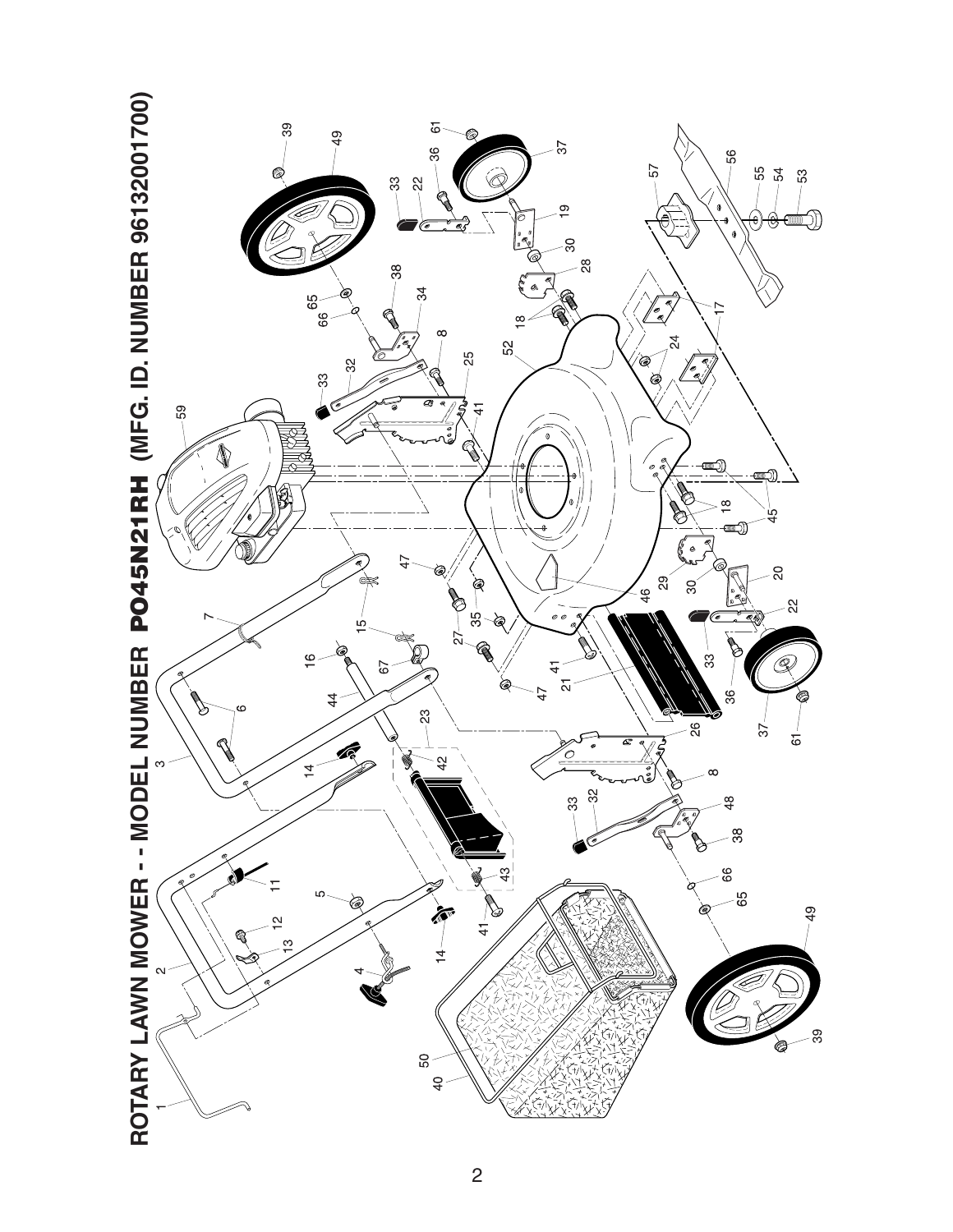